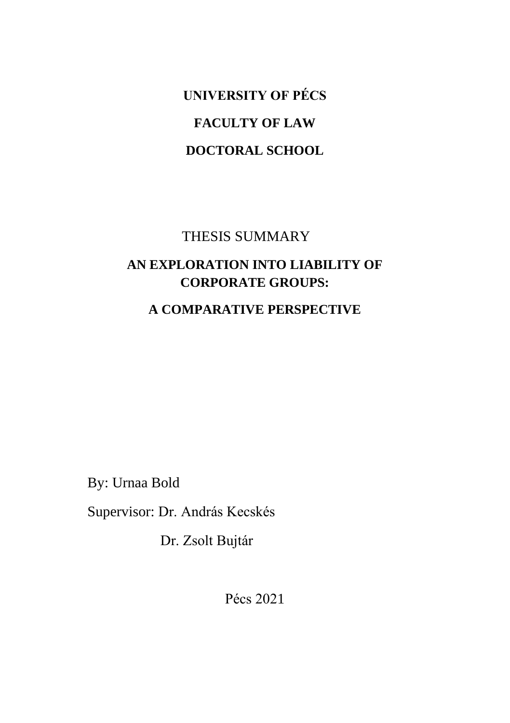**UNIVERSITY OF PÉCS FACULTY OF LAW DOCTORAL SCHOOL**

#### THESIS SUMMARY

### **AN EXPLORATION INTO LIABILITY OF CORPORATE GROUPS:**

#### **A COMPARATIVE PERSPECTIVE**

By: Urnaa Bold

Supervisor: Dr. András Kecskés

Dr. Zsolt Bujtár

Pécs 2021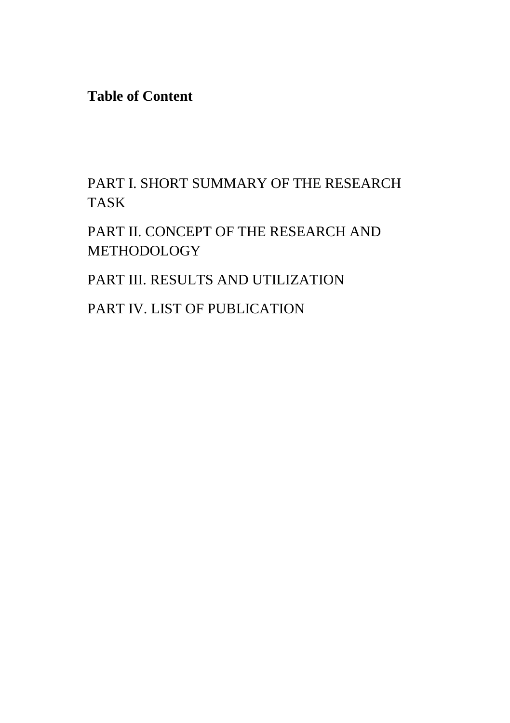**Table of Content**

PART I. SHORT SUMMARY OF THE RESEARCH TASK

PART II. CONCEPT OF THE RESEARCH AND **METHODOLOGY** 

PART III. RESULTS AND UTILIZATION

PART IV. LIST OF PUBLICATION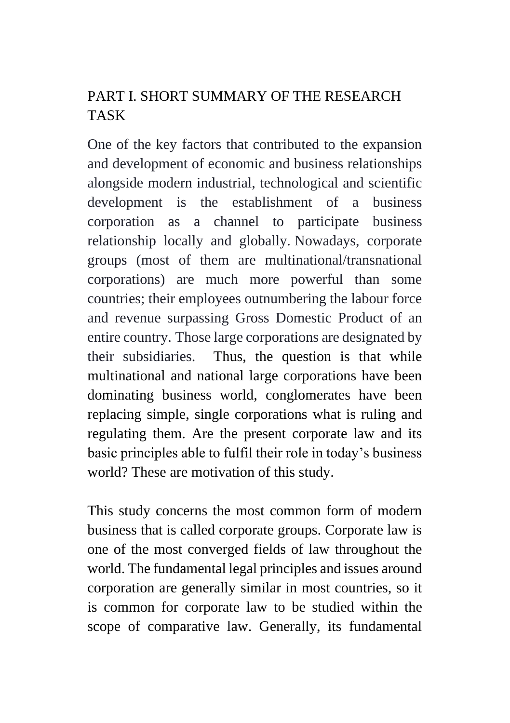## PART I. SHORT SUMMARY OF THE RESEARCH TASK

One of the key factors that contributed to the expansion and development of economic and business relationships alongside modern industrial, technological and scientific development is the establishment of a business corporation as a channel to participate business relationship locally and globally. Nowadays, corporate groups (most of them are multinational/transnational corporations) are much more powerful than some countries; their employees outnumbering the labour force and revenue surpassing Gross Domestic Product of an entire country. Those large corporations are designated by their subsidiaries. Thus, the question is that while multinational and national large corporations have been dominating business world, conglomerates have been replacing simple, single corporations what is ruling and regulating them. Are the present corporate law and its basic principles able to fulfil their role in today's business world? These are motivation of this study.

This study concerns the most common form of modern business that is called corporate groups. Corporate law is one of the most converged fields of law throughout the world. The fundamental legal principles and issues around corporation are generally similar in most countries, so it is common for corporate law to be studied within the scope of comparative law. Generally, its fundamental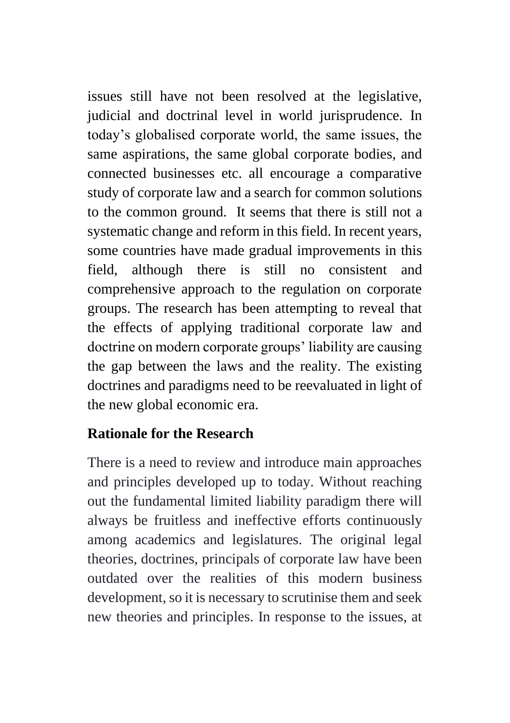issues still have not been resolved at the legislative, judicial and doctrinal level in world jurisprudence. In today's globalised corporate world, the same issues, the same aspirations, the same global corporate bodies, and connected businesses etc. all encourage a comparative study of corporate law and a search for common solutions to the common ground. It seems that there is still not a systematic change and reform in this field. In recent years, some countries have made gradual improvements in this field, although there is still no consistent and comprehensive approach to the regulation on corporate groups. The research has been attempting to reveal that the effects of applying traditional corporate law and doctrine on modern corporate groups' liability are causing the gap between the laws and the reality. The existing doctrines and paradigms need to be reevaluated in light of the new global economic era.

### **Rationale for the Research**

There is a need to review and introduce main approaches and principles developed up to today. Without reaching out the fundamental limited liability paradigm there will always be fruitless and ineffective efforts continuously among academics and legislatures. The original legal theories, doctrines, principals of corporate law have been outdated over the realities of this modern business development, so it is necessary to scrutinise them and seek new theories and principles. In response to the issues, at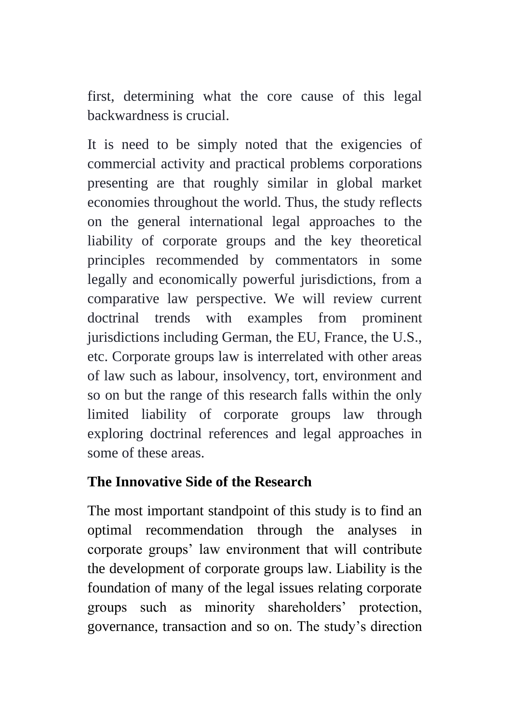first, determining what the core cause of this legal backwardness is crucial.

It is need to be simply noted that the exigencies of commercial activity and practical problems corporations presenting are that roughly similar in global market economies throughout the world. Thus, the study reflects on the general international legal approaches to the liability of corporate groups and the key theoretical principles recommended by commentators in some legally and economically powerful jurisdictions, from a comparative law perspective. We will review current doctrinal trends with examples from prominent jurisdictions including German, the EU, France, the U.S., etc. Corporate groups law is interrelated with other areas of law such as labour, insolvency, tort, environment and so on but the range of this research falls within the only limited liability of corporate groups law through exploring doctrinal references and legal approaches in some of these areas.

### **The Innovative Side of the Research**

The most important standpoint of this study is to find an optimal recommendation through the analyses in corporate groups' law environment that will contribute the development of corporate groups law. Liability is the foundation of many of the legal issues relating corporate groups such as minority shareholders' protection, governance, transaction and so on. The study's direction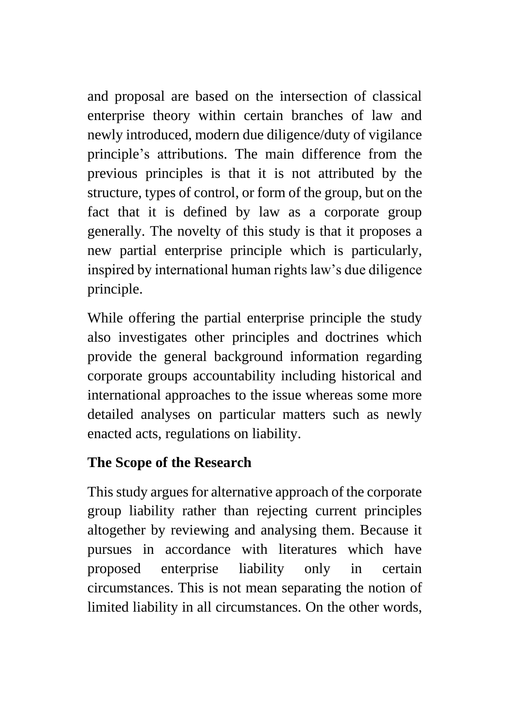and proposal are based on the intersection of classical enterprise theory within certain branches of law and newly introduced, modern due diligence/duty of vigilance principle's attributions. The main difference from the previous principles is that it is not attributed by the structure, types of control, or form of the group, but on the fact that it is defined by law as a corporate group generally. The novelty of this study is that it proposes a new partial enterprise principle which is particularly, inspired by international human rights law's due diligence principle.

While offering the partial enterprise principle the study also investigates other principles and doctrines which provide the general background information regarding corporate groups accountability including historical and international approaches to the issue whereas some more detailed analyses on particular matters such as newly enacted acts, regulations on liability.

## **The Scope of the Research**

This study argues for alternative approach of the corporate group liability rather than rejecting current principles altogether by reviewing and analysing them. Because it pursues in accordance with literatures which have proposed enterprise liability only in certain circumstances. This is not mean separating the notion of limited liability in all circumstances. On the other words,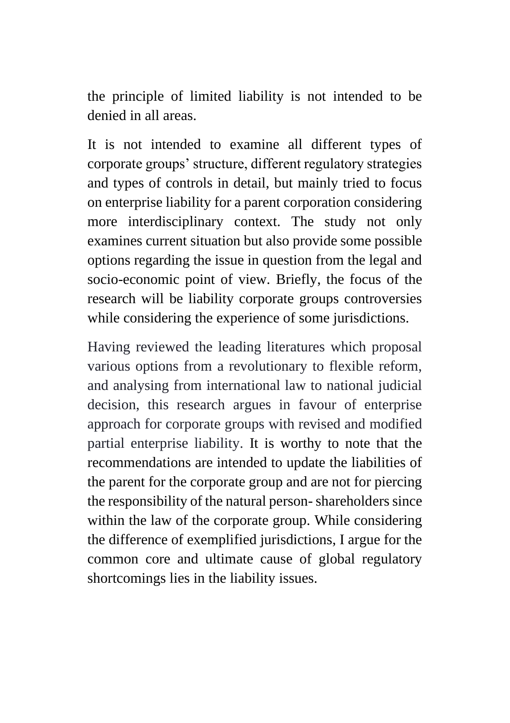the principle of limited liability is not intended to be denied in all areas.

It is not intended to examine all different types of corporate groups' structure, different regulatory strategies and types of controls in detail, but mainly tried to focus on enterprise liability for a parent corporation considering more interdisciplinary context. The study not only examines current situation but also provide some possible options regarding the issue in question from the legal and socio-economic point of view. Briefly, the focus of the research will be liability corporate groups controversies while considering the experience of some jurisdictions.

Having reviewed the leading literatures which proposal various options from a revolutionary to flexible reform, and analysing from international law to national judicial decision, this research argues in favour of enterprise approach for corporate groups with revised and modified partial enterprise liability. It is worthy to note that the recommendations are intended to update the liabilities of the parent for the corporate group and are not for piercing the responsibility of the natural person-shareholders since within the law of the corporate group. While considering the difference of exemplified jurisdictions, I argue for the common core and ultimate cause of global regulatory shortcomings lies in the liability issues.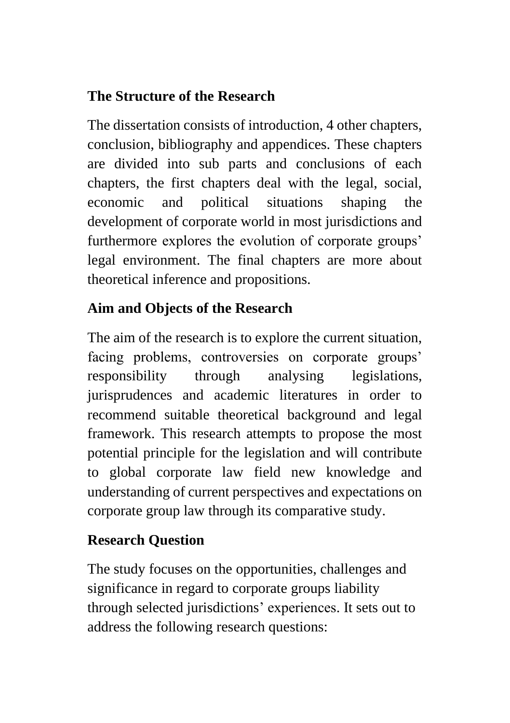## **The Structure of the Research**

The dissertation consists of introduction, 4 other chapters, conclusion, bibliography and appendices. These chapters are divided into sub parts and conclusions of each chapters, the first chapters deal with the legal, social, economic and political situations shaping the development of corporate world in most jurisdictions and furthermore explores the evolution of corporate groups' legal environment. The final chapters are more about theoretical inference and propositions.

## **Aim and Objects of the Research**

The aim of the research is to explore the current situation, facing problems, controversies on corporate groups' responsibility through analysing legislations, jurisprudences and academic literatures in order to recommend suitable theoretical background and legal framework. This research attempts to propose the most potential principle for the legislation and will contribute to global corporate law field new knowledge and understanding of current perspectives and expectations on corporate group law through its comparative study.

## **Research Question**

The study focuses on the opportunities, challenges and significance in regard to corporate groups liability through selected jurisdictions' experiences. It sets out to address the following research questions: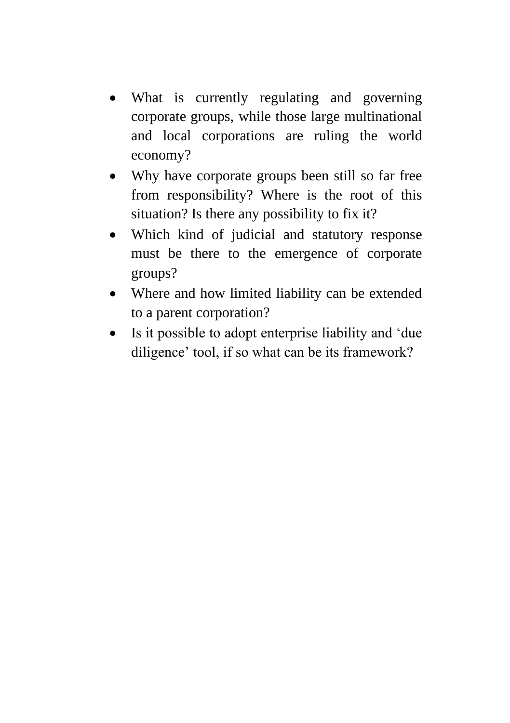- What is currently regulating and governing corporate groups, while those large multinational and local corporations are ruling the world economy?
- Why have corporate groups been still so far free from responsibility? Where is the root of this situation? Is there any possibility to fix it?
- Which kind of judicial and statutory response must be there to the emergence of corporate groups?
- Where and how limited liability can be extended to a parent corporation?
- Is it possible to adopt enterprise liability and 'due diligence' tool, if so what can be its framework?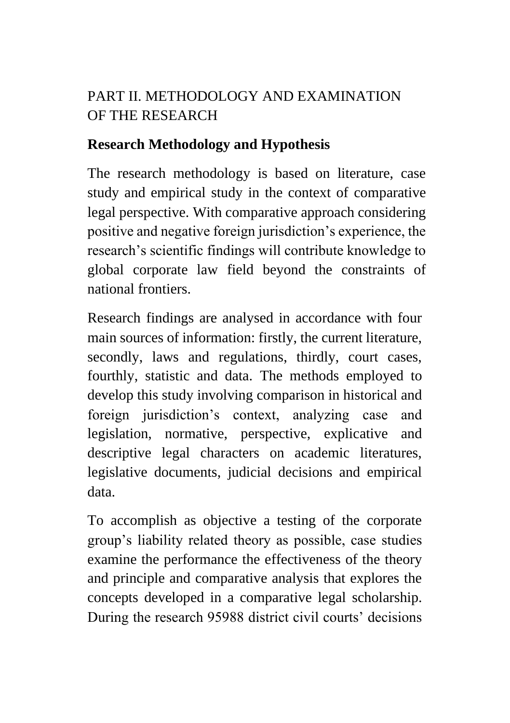# PART II. METHODOLOGY AND EXAMINATION OF THE RESEARCH

#### **Research Methodology and Hypothesis**

The research methodology is based on literature, case study and empirical study in the context of comparative legal perspective. With comparative approach considering positive and negative foreign jurisdiction's experience, the research's scientific findings will contribute knowledge to global corporate law field beyond the constraints of national frontiers.

Research findings are analysed in accordance with four main sources of information: firstly, the current literature, secondly, laws and regulations, thirdly, court cases, fourthly, statistic and data. The methods employed to develop this study involving comparison in historical and foreign jurisdiction's context, analyzing case and legislation, normative, perspective, explicative and descriptive legal characters on academic literatures, legislative documents, judicial decisions and empirical data.

To accomplish as objective a testing of the corporate group's liability related theory as possible, case studies examine the performance the effectiveness of the theory and principle and comparative analysis that explores the concepts developed in a comparative legal scholarship. During the research 95988 district civil courts' decisions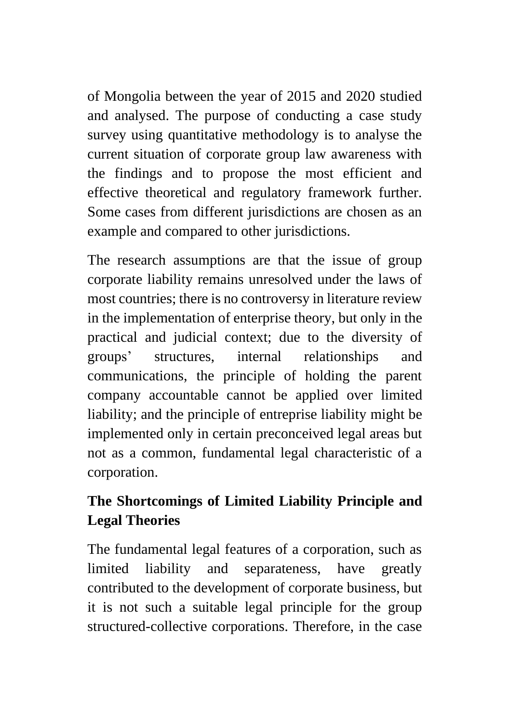of Mongolia between the year of 2015 and 2020 studied and analysed. The purpose of conducting a case study survey using quantitative methodology is to analyse the current situation of corporate group law awareness with the findings and to propose the most efficient and effective theoretical and regulatory framework further. Some cases from different jurisdictions are chosen as an example and compared to other jurisdictions.

The research assumptions are that the issue of group corporate liability remains unresolved under the laws of most countries; there is no controversy in literature review in the implementation of enterprise theory, but only in the practical and judicial context; due to the diversity of groups' structures, internal relationships and communications, the principle of holding the parent company accountable cannot be applied over limited liability; and the principle of entreprise liability might be implemented only in certain preconceived legal areas but not as a common, fundamental legal characteristic of a corporation.

# **The Shortcomings of Limited Liability Principle and Legal Theories**

The fundamental legal features of a corporation, such as limited liability and separateness, have greatly contributed to the development of corporate business, but it is not such a suitable legal principle for the group structured-collective corporations. Therefore, in the case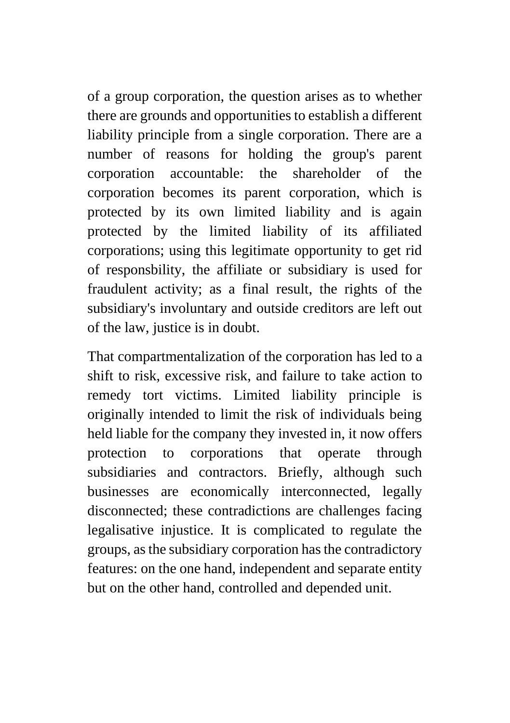of a group corporation, the question arises as to whether there are grounds and opportunities to establish a different liability principle from a single corporation. There are a number of reasons for holding the group's parent corporation accountable: the shareholder of the corporation becomes its parent corporation, which is protected by its own limited liability and is again protected by the limited liability of its affiliated corporations; using this legitimate opportunity to get rid of responsbility, the affiliate or subsidiary is used for fraudulent activity; as a final result, the rights of the subsidiary's involuntary and outside creditors are left out of the law, justice is in doubt.

That compartmentalization of the corporation has led to a shift to risk, excessive risk, and failure to take action to remedy tort victims. Limited liability principle is originally intended to limit the risk of individuals being held liable for the company they invested in, it now offers protection to corporations that operate through subsidiaries and contractors. Briefly, although such businesses are economically interconnected, legally disconnected; these contradictions are challenges facing legalisative injustice. It is complicated to regulate the groups, as the subsidiary corporation has the contradictory features: on the one hand, independent and separate entity but on the other hand, controlled and depended unit.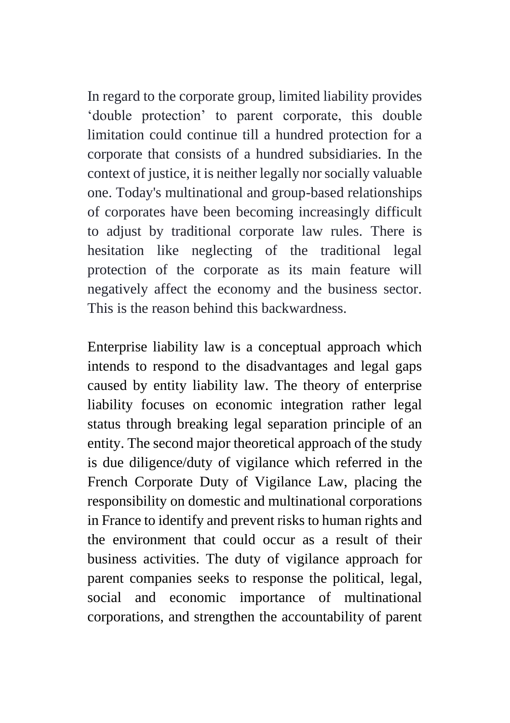In regard to the corporate group, limited liability provides 'double protection' to parent corporate, this double limitation could continue till a hundred protection for a corporate that consists of a hundred subsidiaries. In the context of justice, it is neither legally nor socially valuable one. Today's multinational and group-based relationships of corporates have been becoming increasingly difficult to adjust by traditional corporate law rules. There is hesitation like neglecting of the traditional legal protection of the corporate as its main feature will negatively affect the economy and the business sector. This is the reason behind this backwardness.

Enterprise liability law is a conceptual approach which intends to respond to the disadvantages and legal gaps caused by entity liability law. The theory of enterprise liability focuses on economic integration rather legal status through breaking legal separation principle of an entity. The second major theoretical approach of the study is due diligence/duty of vigilance which referred in the French Corporate Duty of Vigilance Law, placing the responsibility on domestic and multinational corporations in France to identify and prevent risks to human rights and the environment that could occur as a result of their business activities. The duty of vigilance approach for parent companies seeks to response the political, legal, social and economic importance of multinational corporations, and strengthen the accountability of parent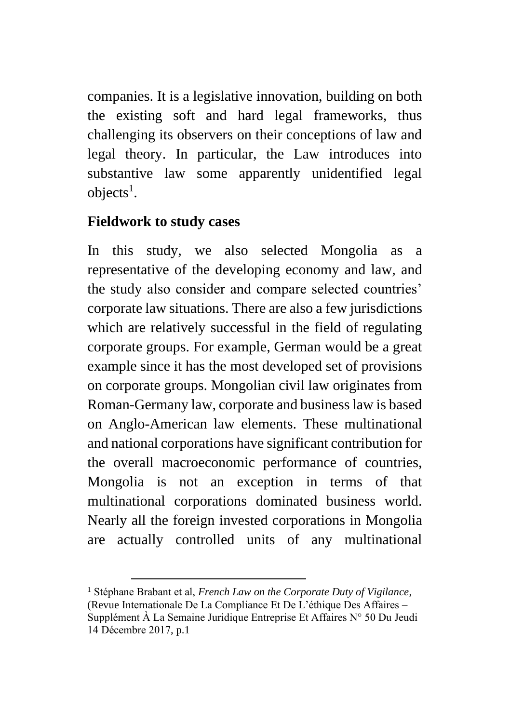companies. It is a legislative innovation, building on both the existing soft and hard legal frameworks, thus challenging its observers on their conceptions of law and legal theory. In particular, the Law introduces into substantive law some apparently unidentified legal  $objects<sup>1</sup>$ .

### **Fieldwork to study cases**

In this study, we also selected Mongolia as a representative of the developing economy and law, and the study also consider and compare selected countries' corporate law situations. There are also a few jurisdictions which are relatively successful in the field of regulating corporate groups. For example, German would be a great example since it has the most developed set of provisions on corporate groups. Mongolian civil law originates from Roman-Germany law, corporate and business law is based on Anglo-American law elements. These multinational and national corporations have significant contribution for the overall macroeconomic performance of countries, Mongolia is not an exception in terms of that multinational corporations dominated business world. Nearly all the foreign invested corporations in Mongolia are actually controlled units of any multinational

<sup>1</sup> Stéphane Brabant et al, *French Law on the Corporate Duty of Vigilance*, (Revue Internationale De La Compliance Et De L'éthique Des Affaires – Supplément À La Semaine Juridique Entreprise Et Affaires N° 50 Du Jeudi 14 Décembre 2017, p.1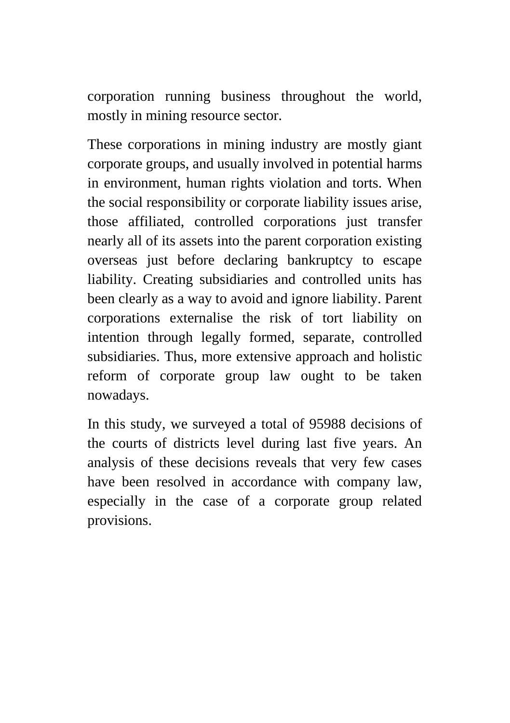corporation running business throughout the world, mostly in mining resource sector.

These corporations in mining industry are mostly giant corporate groups, and usually involved in potential harms in environment, human rights violation and torts. When the social responsibility or corporate liability issues arise, those affiliated, controlled corporations just transfer nearly all of its assets into the parent corporation existing overseas just before declaring bankruptcy to escape liability. Creating subsidiaries and controlled units has been clearly as a way to avoid and ignore liability. Parent corporations externalise the risk of tort liability on intention through legally formed, separate, controlled subsidiaries. Thus, more extensive approach and holistic reform of corporate group law ought to be taken nowadays.

In this study, we surveyed a total of 95988 decisions of the courts of districts level during last five years. An analysis of these decisions reveals that very few cases have been resolved in accordance with company law, especially in the case of a corporate group related provisions.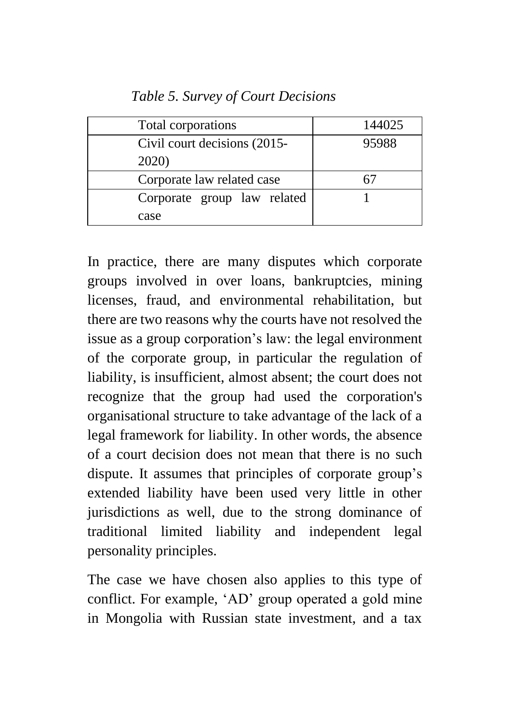| Total corporations           | 144025 |
|------------------------------|--------|
| Civil court decisions (2015- | 95988  |
| 2020)                        |        |
| Corporate law related case   |        |
| Corporate group law related  |        |
| case                         |        |

In practice, there are many disputes which corporate groups involved in over loans, bankruptcies, mining licenses, fraud, and environmental rehabilitation, but there are two reasons why the courts have not resolved the issue as a group corporation's law: the legal environment of the corporate group, in particular the regulation of liability, is insufficient, almost absent; the court does not recognize that the group had used the corporation's organisational structure to take advantage of the lack of a legal framework for liability. In other words, the absence of a court decision does not mean that there is no such dispute. It assumes that principles of corporate group's extended liability have been used very little in other jurisdictions as well, due to the strong dominance of traditional limited liability and independent legal personality principles.

The case we have chosen also applies to this type of conflict. For example, 'AD' group operated a gold mine in Mongolia with Russian state investment, and a tax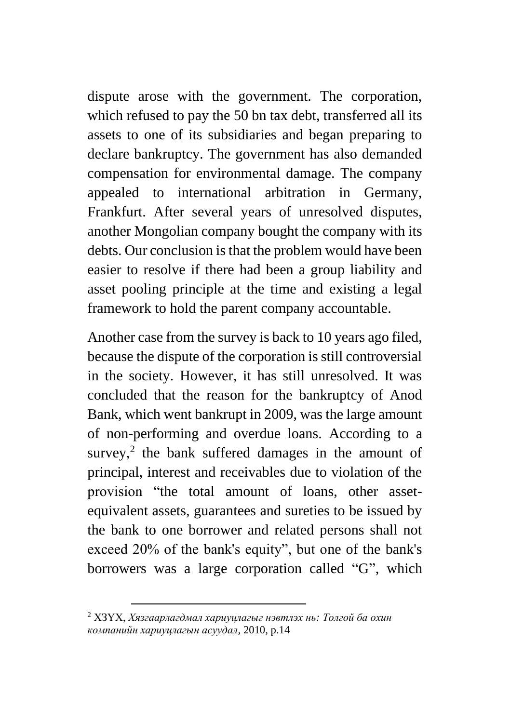dispute arose with the government. The corporation, which refused to pay the 50 bn tax debt, transferred all its assets to one of its subsidiaries and began preparing to declare bankruptcy. The government has also demanded compensation for environmental damage. The company appealed to international arbitration in Germany, Frankfurt. After several years of unresolved disputes, another Mongolian company bought the company with its debts. Our conclusion is that the problem would have been easier to resolve if there had been a group liability and asset pooling principle at the time and existing a legal framework to hold the parent company accountable.

Another case from the survey is back to 10 years ago filed, because the dispute of the corporation is still controversial in the society. However, it has still unresolved. It was concluded that the reason for the bankruptcy of Anod Bank, which went bankrupt in 2009, was the large amount of non-performing and overdue loans. According to a survey,<sup>2</sup> the bank suffered damages in the amount of principal, interest and receivables due to violation of the provision "the total amount of loans, other assetequivalent assets, guarantees and sureties to be issued by the bank to one borrower and related persons shall not exceed 20% of the bank's equity", but one of the bank's borrowers was a large corporation called "G", which

<sup>2</sup> ХЗҮХ, *Хязгаарлагдмал хариуцлагыг нэвтлэх нь: Толгой ба охин компанийн хариуцлагын асуудал,* 2010, p.14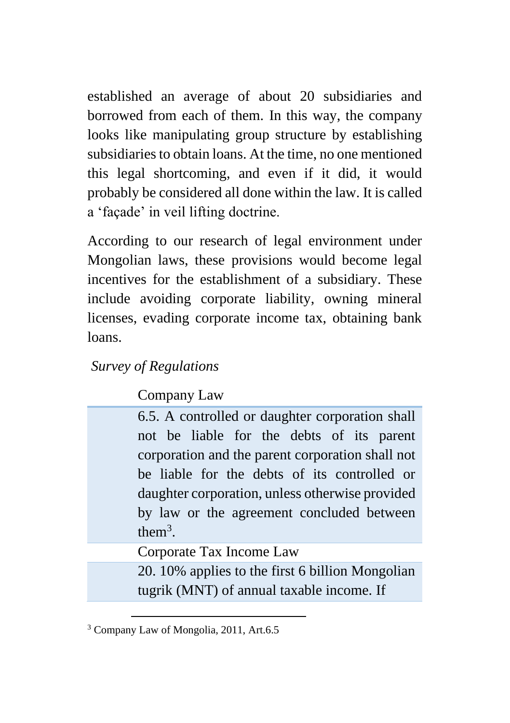established an average of about 20 subsidiaries and borrowed from each of them. In this way, the company looks like manipulating group structure by establishing subsidiaries to obtain loans. At the time, no one mentioned this legal shortcoming, and even if it did, it would probably be considered all done within the law. It is called a 'façade' in veil lifting doctrine.

According to our research of legal environment under Mongolian laws, these provisions would become legal incentives for the establishment of a subsidiary. These include avoiding corporate liability, owning mineral licenses, evading corporate income tax, obtaining bank loans.

#### *Survey of Regulations*

Company Law

6.5. A controlled or daughter corporation shall not be liable for the debts of its parent corporation and the parent corporation shall not be liable for the debts of its controlled or daughter corporation, unless otherwise provided by law or the agreement concluded between them<sup>3</sup>.

Corporate Tax Income Law

20. 10% applies to the first 6 billion Mongolian tugrik (MNT) of annual taxable income. If

<sup>3</sup> Company Law of Mongolia, 2011, Art.6.5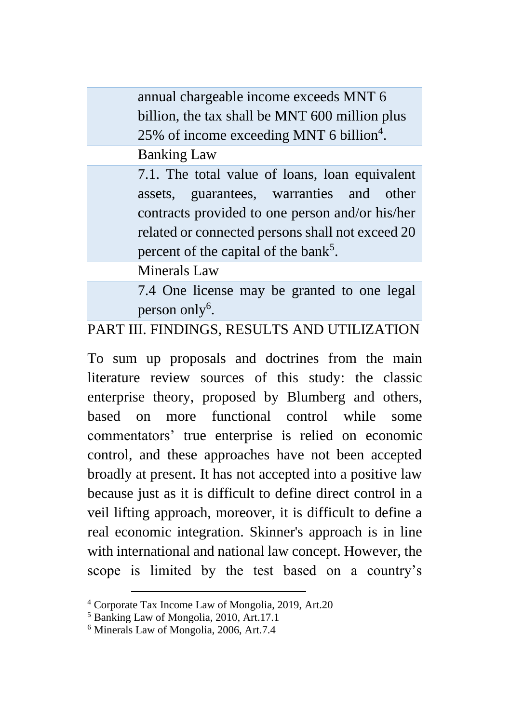annual chargeable income exceeds MNT 6 billion, the tax shall be MNT 600 million plus 25% of income exceeding MNT 6 billion<sup>4</sup>.

Banking Law

7.1. The total value of loans, loan equivalent assets, guarantees, warranties and other contracts provided to one person and/or his/her related or connected persons shall not exceed 20 percent of the capital of the bank<sup>5</sup>.

Minerals Law

7.4 One license may be granted to one legal person only<sup>6</sup>.

#### PART III. FINDINGS, RESULTS AND UTILIZATION

To sum up proposals and doctrines from the main literature review sources of this study: the classic enterprise theory, proposed by Blumberg and others, based on more functional control while some commentators' true enterprise is relied on economic control, and these approaches have not been accepted broadly at present. It has not accepted into a positive law because just as it is difficult to define direct control in a veil lifting approach, moreover, it is difficult to define a real economic integration. Skinner's approach is in line with international and national law concept. However, the scope is limited by the test based on a country's

<sup>4</sup> Corporate Tax Income Law of Mongolia, 2019, Art.20

<sup>5</sup> Banking Law of Mongolia, 2010, Art.17.1

<sup>6</sup> Minerals Law of Mongolia, 2006, Art.7.4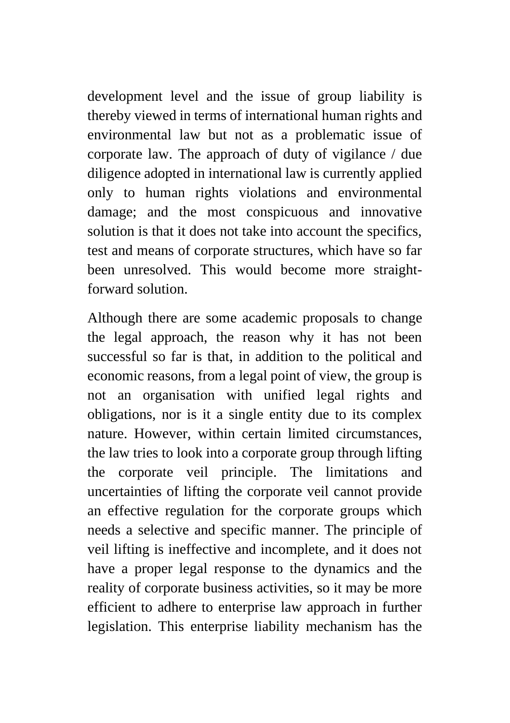development level and the issue of group liability is thereby viewed in terms of international human rights and environmental law but not as a problematic issue of corporate law. The approach of duty of vigilance / due diligence adopted in international law is currently applied only to human rights violations and environmental damage; and the most conspicuous and innovative solution is that it does not take into account the specifics, test and means of corporate structures, which have so far been unresolved. This would become more straightforward solution.

Although there are some academic proposals to change the legal approach, the reason why it has not been successful so far is that, in addition to the political and economic reasons, from a legal point of view, the group is not an organisation with unified legal rights and obligations, nor is it a single entity due to its complex nature. However, within certain limited circumstances, the law tries to look into a corporate group through lifting the corporate veil principle. The limitations and uncertainties of lifting the corporate veil cannot provide an effective regulation for the corporate groups which needs a selective and specific manner. The principle of veil lifting is ineffective and incomplete, and it does not have a proper legal response to the dynamics and the reality of corporate business activities, so it may be more efficient to adhere to enterprise law approach in further legislation. This enterprise liability mechanism has the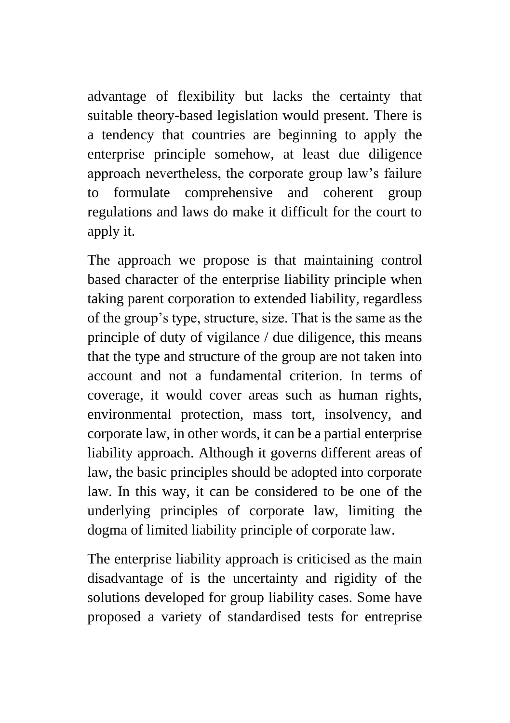advantage of flexibility but lacks the certainty that suitable theory-based legislation would present. There is a tendency that countries are beginning to apply the enterprise principle somehow, at least due diligence approach nevertheless, the corporate group law's failure to formulate comprehensive and coherent group regulations and laws do make it difficult for the court to apply it.

The approach we propose is that maintaining control based character of the enterprise liability principle when taking parent corporation to extended liability, regardless of the group's type, structure, size. That is the same as the principle of duty of vigilance / due diligence, this means that the type and structure of the group are not taken into account and not a fundamental criterion. In terms of coverage, it would cover areas such as human rights, environmental protection, mass tort, insolvency, and corporate law, in other words, it can be a partial enterprise liability approach. Although it governs different areas of law, the basic principles should be adopted into corporate law. In this way, it can be considered to be one of the underlying principles of corporate law, limiting the dogma of limited liability principle of corporate law.

The enterprise liability approach is criticised as the main disadvantage of is the uncertainty and rigidity of the solutions developed for group liability cases. Some have proposed a variety of standardised tests for entreprise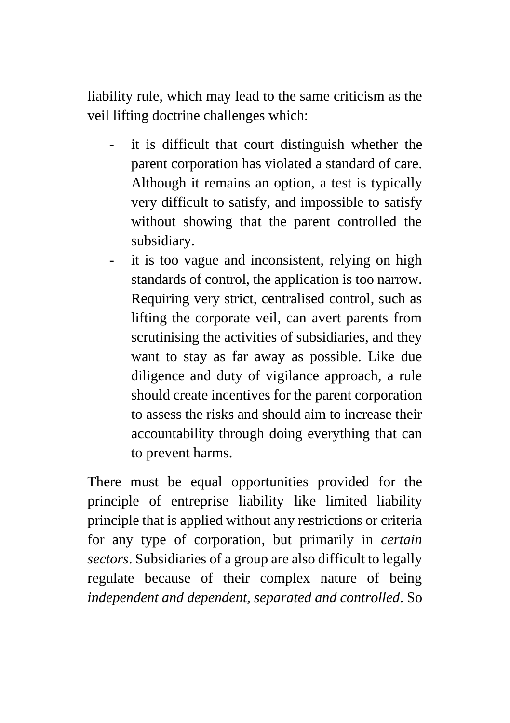liability rule, which may lead to the same criticism as the veil lifting doctrine challenges which:

- it is difficult that court distinguish whether the parent corporation has violated a standard of care. Although it remains an option, a test is typically very difficult to satisfy, and impossible to satisfy without showing that the parent controlled the subsidiary.
- it is too vague and inconsistent, relying on high standards of control, the application is too narrow. Requiring very strict, centralised control, such as lifting the corporate veil, can avert parents from scrutinising the activities of subsidiaries, and they want to stay as far away as possible. Like due diligence and duty of vigilance approach, a rule should create incentives for the parent corporation to assess the risks and should aim to increase their accountability through doing everything that can to prevent harms.

There must be equal opportunities provided for the principle of entreprise liability like limited liability principle that is applied without any restrictions or criteria for any type of corporation, but primarily in *certain sectors*. Subsidiaries of a group are also difficult to legally regulate because of their complex nature of being *independent and dependent, separated and controlled*. So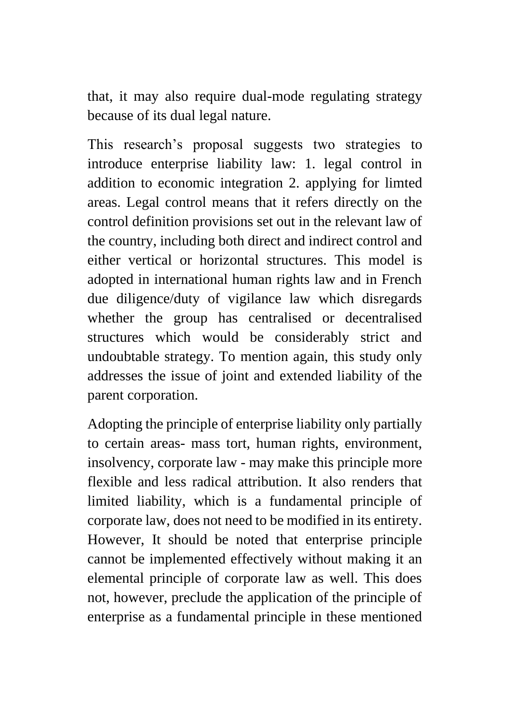that, it may also require dual-mode regulating strategy because of its dual legal nature.

This research's proposal suggests two strategies to introduce enterprise liability law: 1. legal control in addition to economic integration 2. applying for limted areas. Legal control means that it refers directly on the control definition provisions set out in the relevant law of the country, including both direct and indirect control and either vertical or horizontal structures. This model is adopted in international human rights law and in French due diligence/duty of vigilance law which disregards whether the group has centralised or decentralised structures which would be considerably strict and undoubtable strategy. To mention again, this study only addresses the issue of joint and extended liability of the parent corporation.

Adopting the principle of enterprise liability only partially to certain areas- mass tort, human rights, environment, insolvency, corporate law - may make this principle more flexible and less radical attribution. It also renders that limited liability, which is a fundamental principle of corporate law, does not need to be modified in its entirety. However, It should be noted that enterprise principle cannot be implemented effectively without making it an elemental principle of corporate law as well. This does not, however, preclude the application of the principle of enterprise as a fundamental principle in these mentioned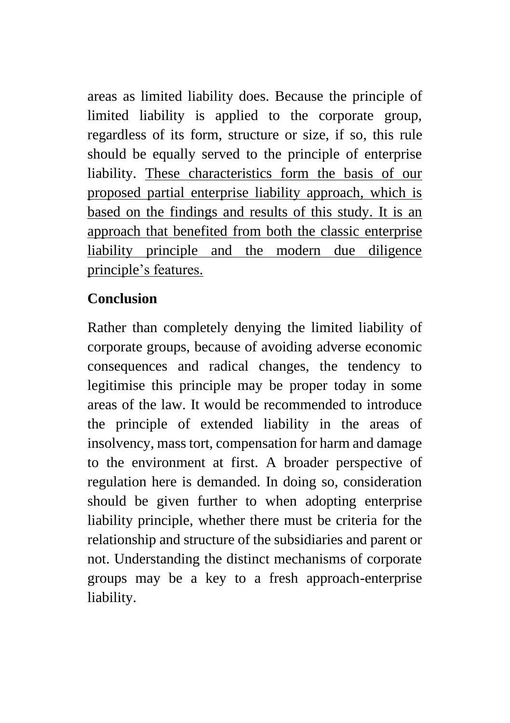areas as limited liability does. Because the principle of limited liability is applied to the corporate group, regardless of its form, structure or size, if so, this rule should be equally served to the principle of enterprise liability. These characteristics form the basis of our proposed partial enterprise liability approach, which is based on the findings and results of this study. It is an approach that benefited from both the classic enterprise liability principle and the modern due diligence principle's features.

## **Conclusion**

Rather than completely denying the limited liability of corporate groups, because of avoiding adverse economic consequences and radical changes, the tendency to legitimise this principle may be proper today in some areas of the law. It would be recommended to introduce the principle of extended liability in the areas of insolvency, mass tort, compensation for harm and damage to the environment at first. A broader perspective of regulation here is demanded. In doing so, consideration should be given further to when adopting enterprise liability principle, whether there must be criteria for the relationship and structure of the subsidiaries and parent or not. Understanding the distinct mechanisms of corporate groups may be a key to a fresh approach-enterprise liability.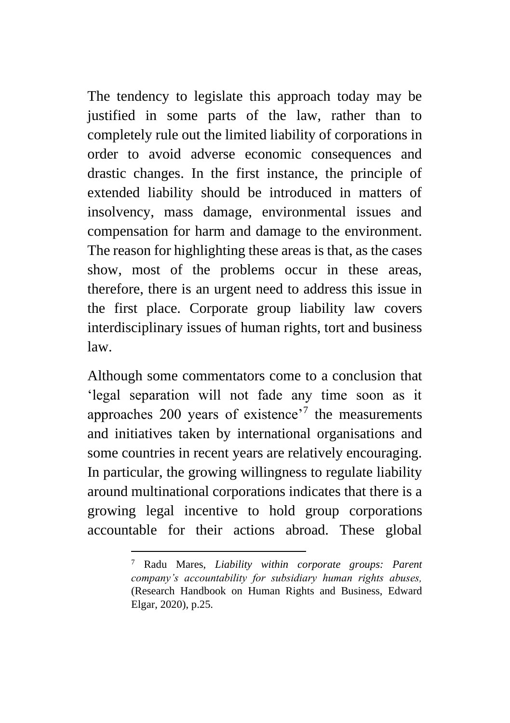The tendency to legislate this approach today may be justified in some parts of the law, rather than to completely rule out the limited liability of corporations in order to avoid adverse economic consequences and drastic changes. In the first instance, the principle of extended liability should be introduced in matters of insolvency, mass damage, environmental issues and compensation for harm and damage to the environment. The reason for highlighting these areas is that, as the cases show, most of the problems occur in these areas, therefore, there is an urgent need to address this issue in the first place. Corporate group liability law covers interdisciplinary issues of human rights, tort and business law.

Although some commentators come to a conclusion that 'legal separation will not fade any time soon as it approaches  $200$  years of existence<sup> $7$ </sup> the measurements and initiatives taken by international organisations and some countries in recent years are relatively encouraging. In particular, the growing willingness to regulate liability around multinational corporations indicates that there is a growing legal incentive to hold group corporations accountable for their actions abroad. These global

<sup>7</sup> Radu Mares, *Liability within corporate groups: Parent company's accountability for subsidiary human rights abuses,* (Research Handbook on Human Rights and Business, Edward Elgar, 2020), p.25.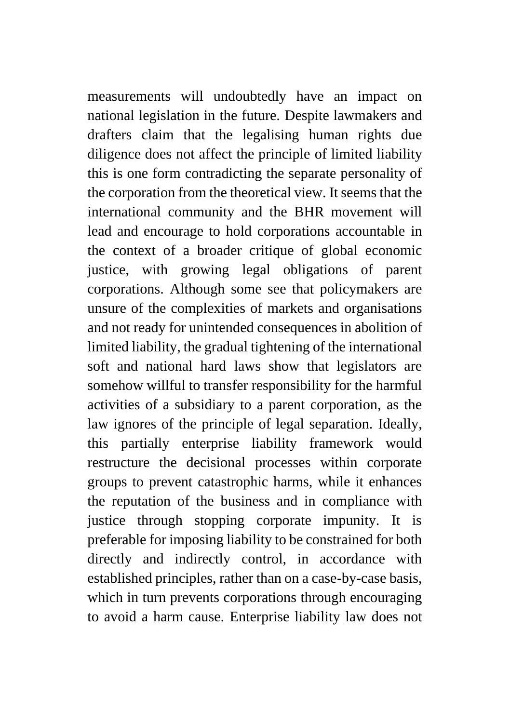measurements will undoubtedly have an impact on national legislation in the future. Despite lawmakers and drafters claim that the legalising human rights due diligence does not affect the principle of limited liability this is one form contradicting the separate personality of the corporation from the theoretical view. It seems that the international community and the BHR movement will lead and encourage to hold corporations accountable in the context of a broader critique of global economic justice, with growing legal obligations of parent corporations. Although some see that policymakers are unsure of the complexities of markets and organisations and not ready for unintended consequences in abolition of limited liability, the gradual tightening of the international soft and national hard laws show that legislators are somehow willful to transfer responsibility for the harmful activities of a subsidiary to a parent corporation, as the law ignores of the principle of legal separation. Ideally, this partially enterprise liability framework would restructure the decisional processes within corporate groups to prevent catastrophic harms, while it enhances the reputation of the business and in compliance with justice through stopping corporate impunity. It is preferable for imposing liability to be constrained for both directly and indirectly control, in accordance with established principles, rather than on a case-by-case basis, which in turn prevents corporations through encouraging to avoid a harm cause. Enterprise liability law does not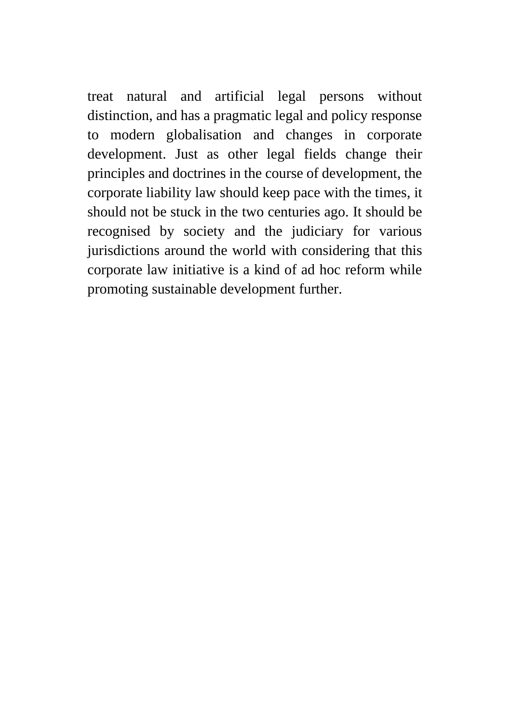treat natural and artificial legal persons without distinction, and has a pragmatic legal and policy response to modern globalisation and changes in corporate development. Just as other legal fields change their principles and doctrines in the course of development, the corporate liability law should keep pace with the times, it should not be stuck in the two centuries ago. It should be recognised by society and the judiciary for various jurisdictions around the world with considering that this corporate law initiative is a kind of ad hoc reform while promoting sustainable development further.